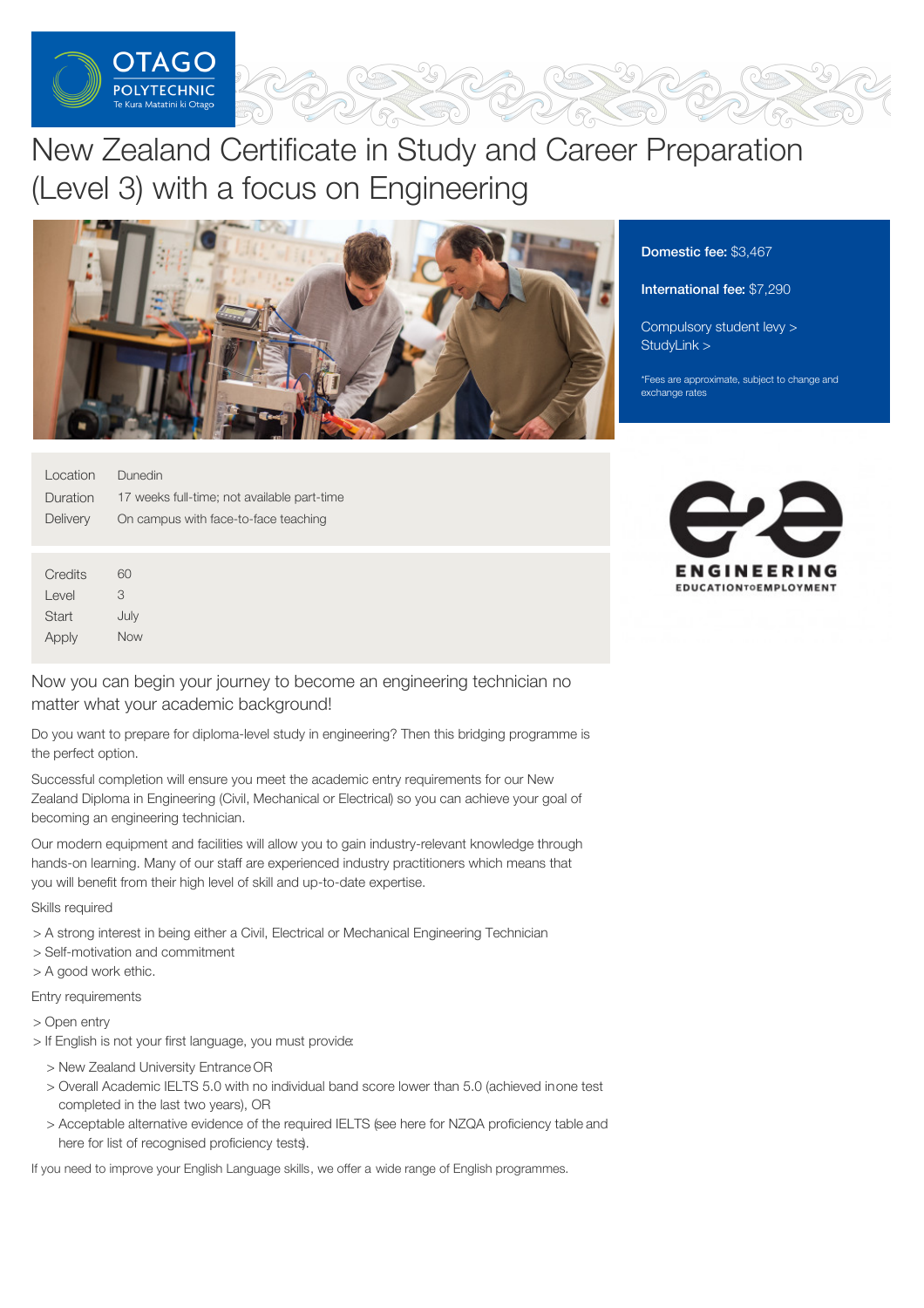

# New Zealand Certificate in Study and Career Preparation (Level 3) with a focus on Engineering



| Location | <b>Dunedin</b>                              |
|----------|---------------------------------------------|
| Duration | 17 weeks full-time; not available part-time |
| Delivery | On campus with face-to-face teaching        |

**Credits** Level **Start** Apply  $60$ 3 July Now

Now you can begin your journey to become an engineering technician no matter what your academic background!

Do you want to prepare for diploma-level study in engineering? Then this bridging programme is the perfect option.

Successful completion will ensure you meet the academic entry requirements for our New Zealand Diploma in Engineering (Civil, Mechanical or Electrical) so you can achieve your goal of becoming an engineering technician.

Our modern equipment and facilities will allow you to gain industry-relevant knowledge through hands-on learning. Many of our staff are experienced industry practitioners which means that you will benefit from their high level of skill and up-to-date expertise.

Skills required

- > A strong interest in being either a Civil, Electrical or Mechanical Engineering Technician
- > Self-motivation and commitment
- > A good work ethic.

Entry requirements

- > Open entry
- > If English is not your first language, you must provide:
	- > New Zealand University Entrance OR
	- > Overall Academic IELTS 5.0 with no individual band score lower than 5.0 (achieved inone test completed in the last two years), OR
	- > Acceptable alternative evidence of the required IELTS (see here for NZQA proficiency table and here for list of recognised proficiency tests).

If you need to improve your English Language skills, we offer a wide range of English programmes.

Domestic fee: \$3,467

#### International fee: \$7,290

[Compulsory](https://online.op.ac.nz/students/important-information/student-services-levy/) student levy > [StudyLink](https://www.studylink.govt.nz/) >

\*Fees are approximate, subject to change and exchange rates

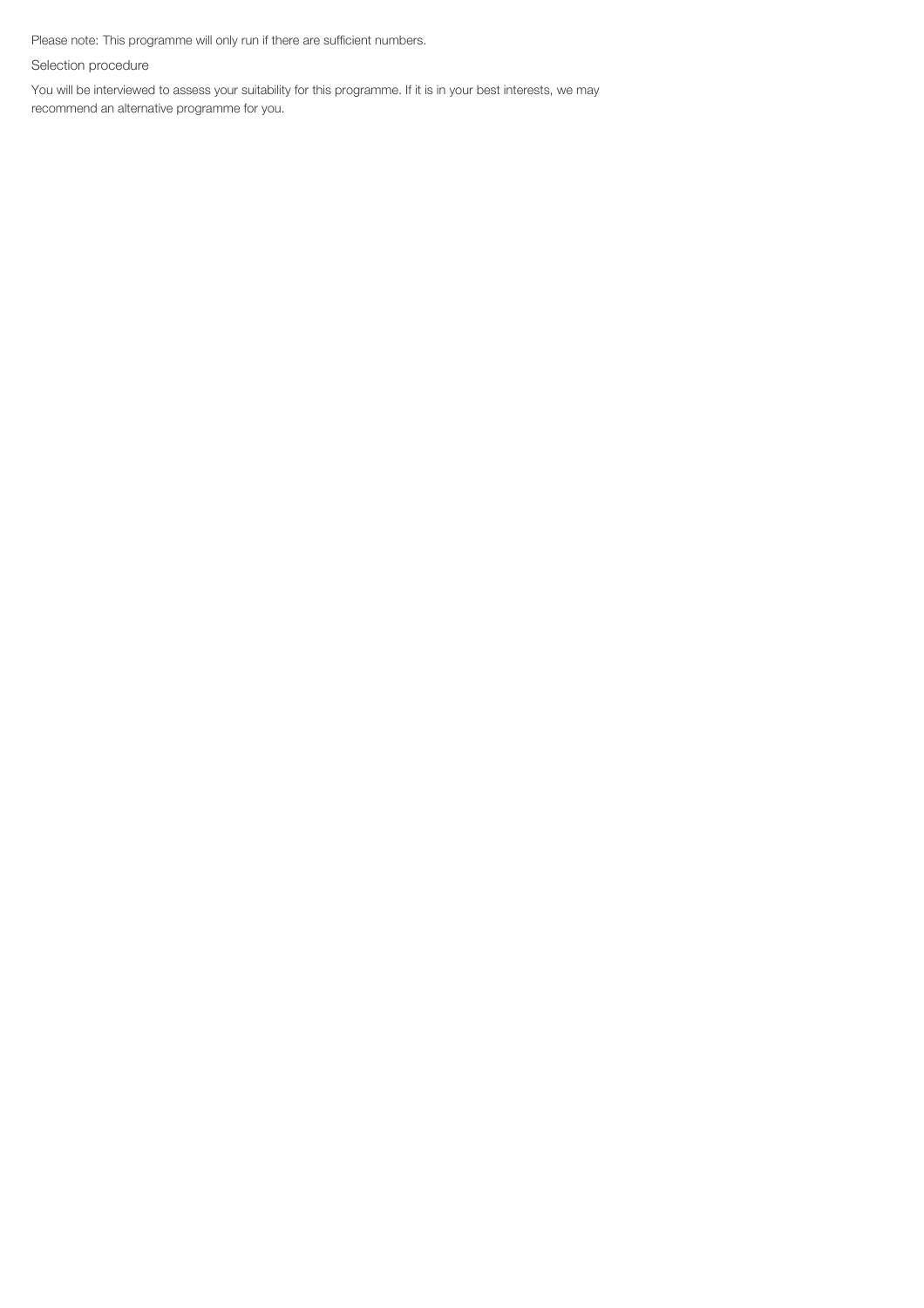Please note: This programme will only run if there are sufficient numbers.

Selection procedure

You will be interviewed to assess your suitability for this programme. If it is in your best interests, we may recommend an alternative programme for you.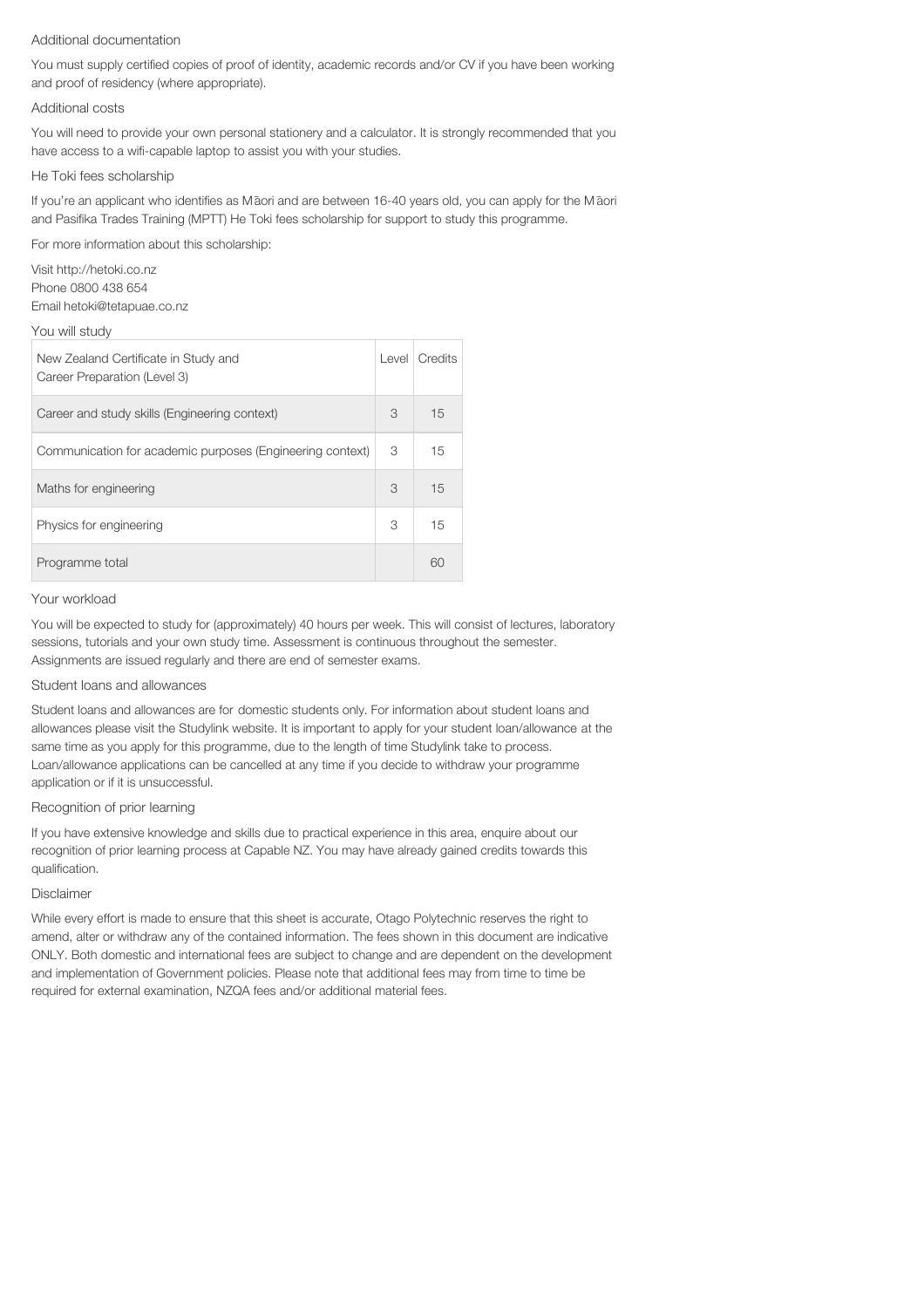### Additional documentation

You must supply certified copies of proof of identity, academic records and/or CV if you have been working and proof of residency (where appropriate).

#### Additional costs

You will need to provide your own personal stationery and a calculator. It is strongly recommended that you have access to a wifi-capable laptop to assist you with your studies.

#### He Toki fees scholarship

If you're an applicant who identifies as Maori and are between 16-40 years old, you can apply for the Maori and Pasifika Trades Training (MPTT) He Toki fees scholarship for support to study this programme.

For more information about this scholarship:

Visit http://hetoki.co.nz Phone 0800 438 654 Email hetoki@tetapuae.co.nz

#### You will study

| New Zealand Certificate in Study and<br>Career Preparation (Level 3) | Level | Credits |
|----------------------------------------------------------------------|-------|---------|
| Career and study skills (Engineering context)                        |       | 15      |
| Communication for academic purposes (Engineering context)            |       | 15      |
| Maths for engineering                                                |       | 15      |
| Physics for engineering                                              |       | 15      |
| Programme total                                                      |       | 60      |

## Your workload

You will be expected to study for (approximately) 40 hours per week. This will consist of lectures, laboratory sessions, tutorials and your own study time. Assessment is continuous throughout the semester. Assignments are issued regularly and there are end of semester exams.

## Student loans and allowances

Student loans and allowances are for domestic students only. For information about student loans and allowances please visit the Studylink website. It is important to apply for your student loan/allowance at the same time as you apply for this programme, due to the length of time Studylink take to process. Loan/allowance applications can be cancelled at any time if you decide to withdraw your programme application or if it is unsuccessful.

## Recognition of prior learning

If you have extensive knowledge and skills due to practical experience in this area, enquire about our recognition of prior learning process at Capable NZ. You may have already gained credits towards this qualification.

## Disclaimer

While every effort is made to ensure that this sheet is accurate, Otago Polytechnic reserves the right to amend, alter or withdraw any of the contained information. The fees shown in this document are indicative ONLY. Both domestic and international fees are subject to change and are dependent on the development and implementation of Government policies. Please note that additional fees may from time to time be required for external examination, NZQA fees and/or additional material fees.